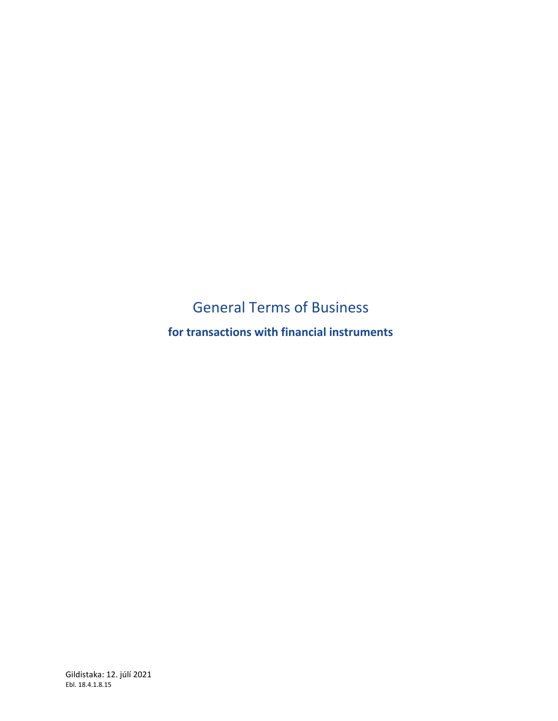# General Terms of Business

**for transactions with financial instruments**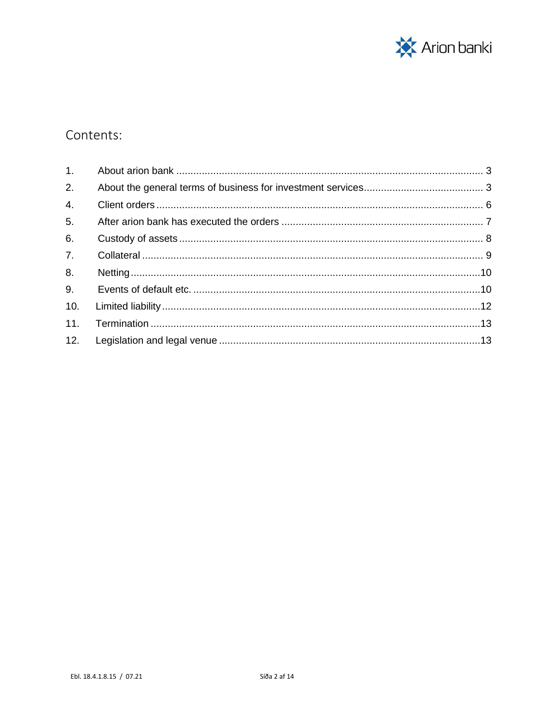

# Contents:

| 2.             |  |
|----------------|--|
| 4.             |  |
| 5.             |  |
| 6.             |  |
| 7 <sup>1</sup> |  |
| 8.             |  |
| 9.             |  |
| 10.            |  |
| 11.            |  |
|                |  |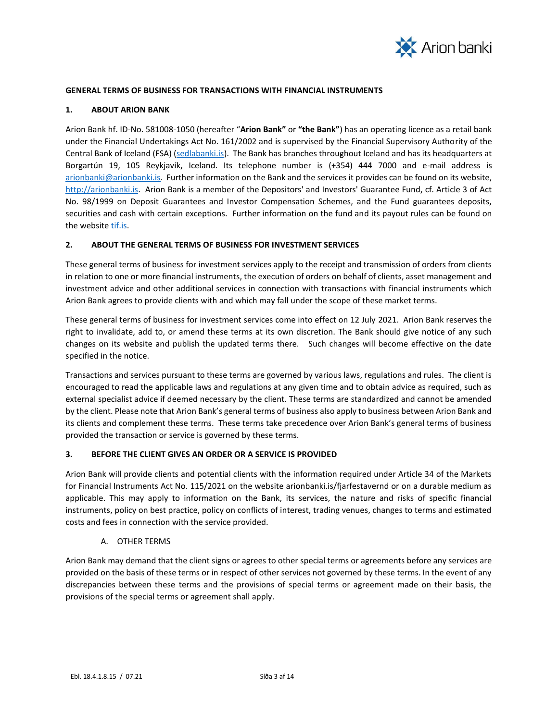

#### **GENERAL TERMS OF BUSINESS FOR TRANSACTIONS WITH FINANCIAL INSTRUMENTS**

#### <span id="page-2-0"></span>**1. ABOUT ARION BANK**

Arion Bank hf. ID-No. 581008-1050 (hereafter "**Arion Bank"** or **"the Bank"**) has an operating licence as a retail bank under the Financial Undertakings Act No. 161/2002 and is supervised by the Financial Supervisory Authority of the Central Bank of Iceland (FSA) [\(sedlabanki.is\)](http://sedlabanki.is/). The Bank has branches throughout Iceland and has its headquarters at Borgartún 19, 105 Reykjavík, Iceland. Its telephone number is (+354) 444 7000 and e-mail address is [arionbanki@arionbanki.is.](mailto:arionbanki@arionbanki.is) Further information on the Bank and the services it provides can be found on its website, [http://arionbanki.is.](http://arionbanki.is/) Arion Bank is a member of the Depositors' and Investors' Guarantee Fund, cf. Article 3 of Act No. 98/1999 on Deposit Guarantees and Investor Compensation Schemes, and the Fund guarantees deposits, securities and cash with certain exceptions. Further information on the fund and its payout rules can be found on the website [tif.is.](file://///lex/arni$/Stefán%20Orri%20Ólafsson/Arion%20banki%20hf/MiFid%20II/Lokayfirferð%20í%20maí/tif.is)

#### <span id="page-2-1"></span>**2. ABOUT THE GENERAL TERMS OF BUSINESS FOR INVESTMENT SERVICES**

These general terms of business for investment services apply to the receipt and transmission of orders from clients in relation to one or more financial instruments, the execution of orders on behalf of clients, asset management and investment advice and other additional services in connection with transactions with financial instruments which Arion Bank agrees to provide clients with and which may fall under the scope of these market terms.

These general terms of business for investment services come into effect on 12 July 2021. Arion Bank reserves the right to invalidate, add to, or amend these terms at its own discretion. The Bank should give notice of any such changes on its website and publish the updated terms there. Such changes will become effective on the date specified in the notice.

Transactions and services pursuant to these terms are governed by various laws, regulations and rules. The client is encouraged to read the applicable laws and regulations at any given time and to obtain advice as required, such as external specialist advice if deemed necessary by the client. These terms are standardized and cannot be amended by the client. Please note that Arion Bank's general terms of business also apply to business between Arion Bank and its clients and complement these terms. These terms take precedence over Arion Bank's general terms of business provided the transaction or service is governed by these terms.

#### **3. BEFORE THE CLIENT GIVES AN ORDER OR A SERVICE IS PROVIDED**

Arion Bank will provide clients and potential clients with the information required under Article 34 of the Markets for Financial Instruments Act No. 115/2021 on the website arionbanki.is/fjarfestavernd or on a durable medium as applicable. This may apply to information on the Bank, its services, the nature and risks of specific financial instruments, policy on best practice, policy on conflicts of interest, trading venues, changes to terms and estimated costs and fees in connection with the service provided.

# A. OTHER TERMS

Arion Bank may demand that the client signs or agrees to other special terms or agreements before any services are provided on the basis of these terms or in respect of other services not governed by these terms. In the event of any discrepancies between these terms and the provisions of special terms or agreement made on their basis, the provisions of the special terms or agreement shall apply.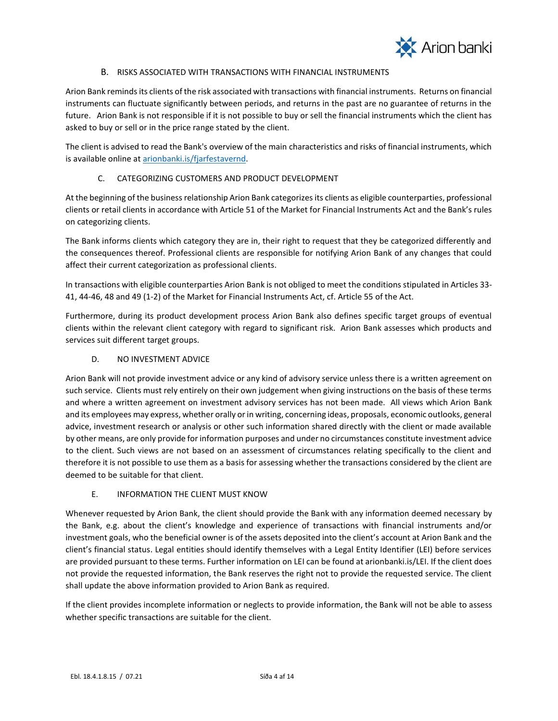

# B. RISKS ASSOCIATED WITH TRANSACTIONS WITH FINANCIAL INSTRUMENTS

Arion Bank reminds its clients of the risk associated with transactions with financial instruments. Returns on financial instruments can fluctuate significantly between periods, and returns in the past are no guarantee of returns in the future. Arion Bank is not responsible if it is not possible to buy or sell the financial instruments which the client has asked to buy or sell or in the price range stated by the client.

The client is advised to read the Bank's overview of the main characteristics and risks of financial instruments, which is available online a[t arionbanki.is/](http://arionbanki.is/)fjarfestavernd.

# C. CATEGORIZING CUSTOMERS AND PRODUCT DEVELOPMENT

At the beginning of the business relationship Arion Bank categorizes its clients as eligible counterparties, professional clients or retail clients in accordance with Article 51 of the Market for Financial Instruments Act and the Bank's rules on categorizing clients.

The Bank informs clients which category they are in, their right to request that they be categorized differently and the consequences thereof. Professional clients are responsible for notifying Arion Bank of any changes that could affect their current categorization as professional clients.

In transactions with eligible counterparties Arion Bank is not obliged to meet the conditions stipulated in Articles 33- 41, 44-46, 48 and 49 (1-2) of the Market for Financial Instruments Act, cf. Article 55 of the Act.

Furthermore, during its product development process Arion Bank also defines specific target groups of eventual clients within the relevant client category with regard to significant risk. Arion Bank assesses which products and services suit different target groups.

#### D. NO INVESTMENT ADVICE

Arion Bank will not provide investment advice or any kind of advisory service unless there is a written agreement on such service. Clients must rely entirely on their own judgement when giving instructions on the basis of these terms and where a written agreement on investment advisory services has not been made. All views which Arion Bank and its employees may express, whether orally or in writing, concerning ideas, proposals, economic outlooks, general advice, investment research or analysis or other such information shared directly with the client or made available by other means, are only provide for information purposes and under no circumstances constitute investment advice to the client. Such views are not based on an assessment of circumstances relating specifically to the client and therefore it is not possible to use them as a basis for assessing whether the transactions considered by the client are deemed to be suitable for that client.

#### E. INFORMATION THE CLIENT MUST KNOW

Whenever requested by Arion Bank, the client should provide the Bank with any information deemed necessary by the Bank, e.g. about the client's knowledge and experience of transactions with financial instruments and/or investment goals, who the beneficial owner is of the assets deposited into the client's account at Arion Bank and the client's financial status. Legal entities should identify themselves with a Legal Entity Identifier (LEI) before services are provided pursuant to these terms. Further information on LEI can be found at arionbanki.is/LEI. If the client does not provide the requested information, the Bank reserves the right not to provide the requested service. The client shall update the above information provided to Arion Bank as required.

If the client provides incomplete information or neglects to provide information, the Bank will not be able to assess whether specific transactions are suitable for the client.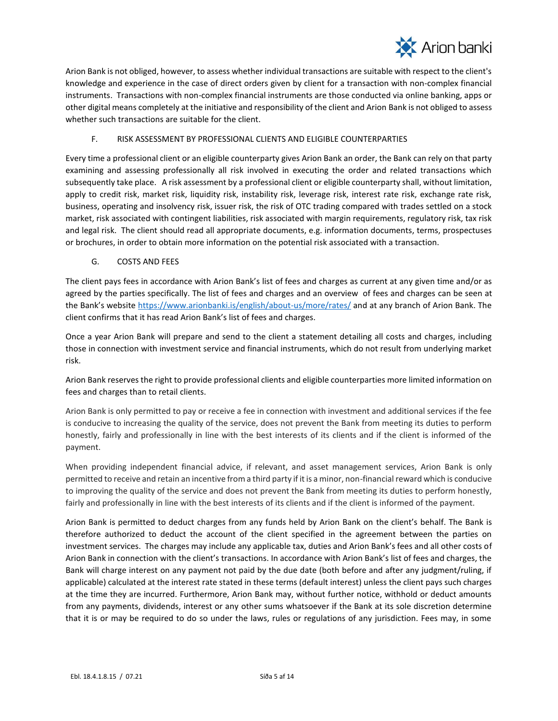

Arion Bank is not obliged, however, to assess whether individual transactions are suitable with respect to the client's knowledge and experience in the case of direct orders given by client for a transaction with non-complex financial instruments. Transactions with non-complex financial instruments are those conducted via online banking, apps or other digital means completely at the initiative and responsibility of the client and Arion Bank is not obliged to assess whether such transactions are suitable for the client.

# F. RISK ASSESSMENT BY PROFESSIONAL CLIENTS AND ELIGIBLE COUNTERPARTIES

Every time a professional client or an eligible counterparty gives Arion Bank an order, the Bank can rely on that party examining and assessing professionally all risk involved in executing the order and related transactions which subsequently take place. A risk assessment by a professional client or eligible counterparty shall, without limitation, apply to credit risk, market risk, liquidity risk, instability risk, leverage risk, interest rate risk, exchange rate risk, business, operating and insolvency risk, issuer risk, the risk of OTC trading compared with trades settled on a stock market, risk associated with contingent liabilities, risk associated with margin requirements, regulatory risk, tax risk and legal risk. The client should read all appropriate documents, e.g. information documents, terms, prospectuses or brochures, in order to obtain more information on the potential risk associated with a transaction.

# G. COSTS AND FEES

The client pays fees in accordance with Arion Bank's list of fees and charges as current at any given time and/or as agreed by the parties specifically. The list of fees and charges and an overview of fees and charges can be seen at the Bank's website <https://www.arionbanki.is/english/about-us/more/rates/> and at any branch of Arion Bank. The client confirms that it has read Arion Bank's list of fees and charges.

Once a year Arion Bank will prepare and send to the client a statement detailing all costs and charges, including those in connection with investment service and financial instruments, which do not result from underlying market risk.

Arion Bank reserves the right to provide professional clients and eligible counterparties more limited information on fees and charges than to retail clients.

Arion Bank is only permitted to pay or receive a fee in connection with investment and additional services if the fee is conducive to increasing the quality of the service, does not prevent the Bank from meeting its duties to perform honestly, fairly and professionally in line with the best interests of its clients and if the client is informed of the payment.

When providing independent financial advice, if relevant, and asset management services, Arion Bank is only permitted to receive and retain an incentive from a third party if it is a minor, non-financial reward which is conducive to improving the quality of the service and does not prevent the Bank from meeting its duties to perform honestly, fairly and professionally in line with the best interests of its clients and if the client is informed of the payment.

Arion Bank is permitted to deduct charges from any funds held by Arion Bank on the client's behalf. The Bank is therefore authorized to deduct the account of the client specified in the agreement between the parties on investment services. The charges may include any applicable tax, duties and Arion Bank's fees and all other costs of Arion Bank in connection with the client's transactions. In accordance with Arion Bank's list of fees and charges, the Bank will charge interest on any payment not paid by the due date (both before and after any judgment/ruling, if applicable) calculated at the interest rate stated in these terms (default interest) unless the client pays such charges at the time they are incurred. Furthermore, Arion Bank may, without further notice, withhold or deduct amounts from any payments, dividends, interest or any other sums whatsoever if the Bank at its sole discretion determine that it is or may be required to do so under the laws, rules or regulations of any jurisdiction. Fees may, in some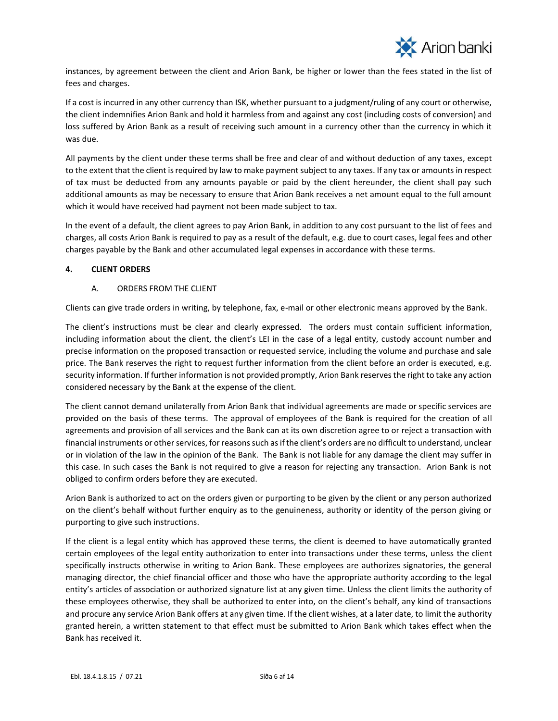

instances, by agreement between the client and Arion Bank, be higher or lower than the fees stated in the list of fees and charges.

If a cost is incurred in any other currency than ISK, whether pursuant to a judgment/ruling of any court or otherwise, the client indemnifies Arion Bank and hold it harmless from and against any cost (including costs of conversion) and loss suffered by Arion Bank as a result of receiving such amount in a currency other than the currency in which it was due.

All payments by the client under these terms shall be free and clear of and without deduction of any taxes, except to the extent that the client is required by law to make payment subject to any taxes. If any tax or amounts in respect of tax must be deducted from any amounts payable or paid by the client hereunder, the client shall pay such additional amounts as may be necessary to ensure that Arion Bank receives a net amount equal to the full amount which it would have received had payment not been made subject to tax.

In the event of a default, the client agrees to pay Arion Bank, in addition to any cost pursuant to the list of fees and charges, all costs Arion Bank is required to pay as a result of the default, e.g. due to court cases, legal fees and other charges payable by the Bank and other accumulated legal expenses in accordance with these terms.

# <span id="page-5-0"></span>**4. CLIENT ORDERS**

# A. ORDERS FROM THE CLIENT

Clients can give trade orders in writing, by telephone, fax, e-mail or other electronic means approved by the Bank.

The client's instructions must be clear and clearly expressed. The orders must contain sufficient information, including information about the client, the client's LEI in the case of a legal entity, custody account number and precise information on the proposed transaction or requested service, including the volume and purchase and sale price. The Bank reserves the right to request further information from the client before an order is executed, e.g. security information. If further information is not provided promptly, Arion Bank reserves the right to take any action considered necessary by the Bank at the expense of the client.

The client cannot demand unilaterally from Arion Bank that individual agreements are made or specific services are provided on the basis of these terms. The approval of employees of the Bank is required for the creation of all agreements and provision of all services and the Bank can at its own discretion agree to or reject a transaction with financial instruments or other services, for reasons such as if the client's orders are no difficult to understand, unclear or in violation of the law in the opinion of the Bank. The Bank is not liable for any damage the client may suffer in this case. In such cases the Bank is not required to give a reason for rejecting any transaction. Arion Bank is not obliged to confirm orders before they are executed.

Arion Bank is authorized to act on the orders given or purporting to be given by the client or any person authorized on the client's behalf without further enquiry as to the genuineness, authority or identity of the person giving or purporting to give such instructions.

If the client is a legal entity which has approved these terms, the client is deemed to have automatically granted certain employees of the legal entity authorization to enter into transactions under these terms, unless the client specifically instructs otherwise in writing to Arion Bank. These employees are authorizes signatories, the general managing director, the chief financial officer and those who have the appropriate authority according to the legal entity's articles of association or authorized signature list at any given time. Unless the client limits the authority of these employees otherwise, they shall be authorized to enter into, on the client's behalf, any kind of transactions and procure any service Arion Bank offers at any given time. If the client wishes, at a later date, to limit the authority granted herein, a written statement to that effect must be submitted to Arion Bank which takes effect when the Bank has received it.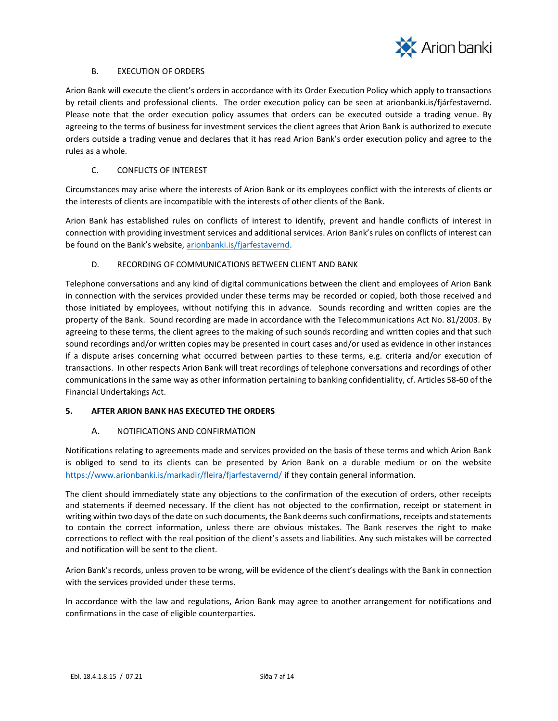

#### B. EXECUTION OF ORDERS

Arion Bank will execute the client's orders in accordance with its Order Execution Policy which apply to transactions by retail clients and professional clients. The order execution policy can be seen at arionbanki.is/fjárfestavernd. Please note that the order execution policy assumes that orders can be executed outside a trading venue. By agreeing to the terms of business for investment services the client agrees that Arion Bank is authorized to execute orders outside a trading venue and declares that it has read Arion Bank's order execution policy and agree to the rules as a whole.

# C. CONFLICTS OF INTEREST

Circumstances may arise where the interests of Arion Bank or its employees conflict with the interests of clients or the interests of clients are incompatible with the interests of other clients of the Bank.

Arion Bank has established rules on conflicts of interest to identify, prevent and handle conflicts of interest in connection with providing investment services and additional services. Arion Bank's rules on conflicts of interest can be found on the Bank's website, [arionbanki.is/fjarfestavernd.](http://www.arionbanki.is/farfestavernd)

# D. RECORDING OF COMMUNICATIONS BETWEEN CLIENT AND BANK

Telephone conversations and any kind of digital communications between the client and employees of Arion Bank in connection with the services provided under these terms may be recorded or copied, both those received and those initiated by employees, without notifying this in advance. Sounds recording and written copies are the property of the Bank. Sound recording are made in accordance with the Telecommunications Act No. 81/2003. By agreeing to these terms, the client agrees to the making of such sounds recording and written copies and that such sound recordings and/or written copies may be presented in court cases and/or used as evidence in other instances if a dispute arises concerning what occurred between parties to these terms, e.g. criteria and/or execution of transactions. In other respects Arion Bank will treat recordings of telephone conversations and recordings of other communications in the same way as other information pertaining to banking confidentiality, cf. Articles 58-60 of the Financial Undertakings Act.

# <span id="page-6-0"></span>**5. AFTER ARION BANK HAS EXECUTED THE ORDERS**

# A. NOTIFICATIONS AND CONFIRMATION

Notifications relating to agreements made and services provided on the basis of these terms and which Arion Bank is obliged to send to its clients can be presented by Arion Bank on a durable medium or on the website <https://www.arionbanki.is/markadir/fleira/fjarfestavernd/> if they contain general information.

The client should immediately state any objections to the confirmation of the execution of orders, other receipts and statements if deemed necessary. If the client has not objected to the confirmation, receipt or statement in writing within two days of the date on such documents, the Bank deems such confirmations, receipts and statements to contain the correct information, unless there are obvious mistakes. The Bank reserves the right to make corrections to reflect with the real position of the client's assets and liabilities. Any such mistakes will be corrected and notification will be sent to the client.

Arion Bank's records, unless proven to be wrong, will be evidence of the client's dealings with the Bank in connection with the services provided under these terms.

In accordance with the law and regulations, Arion Bank may agree to another arrangement for notifications and confirmations in the case of eligible counterparties.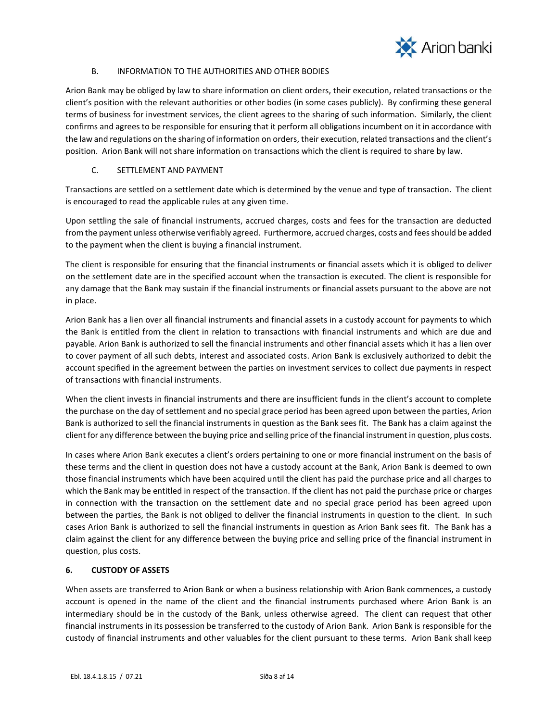

# B. INFORMATION TO THE AUTHORITIES AND OTHER BODIES

Arion Bank may be obliged by law to share information on client orders, their execution, related transactions or the client's position with the relevant authorities or other bodies (in some cases publicly). By confirming these general terms of business for investment services, the client agrees to the sharing of such information. Similarly, the client confirms and agrees to be responsible for ensuring that it perform all obligations incumbent on it in accordance with the law and regulations on the sharing of information on orders, their execution, related transactions and the client's position. Arion Bank will not share information on transactions which the client is required to share by law.

# C. SETTLEMENT AND PAYMENT

Transactions are settled on a settlement date which is determined by the venue and type of transaction. The client is encouraged to read the applicable rules at any given time.

Upon settling the sale of financial instruments, accrued charges, costs and fees for the transaction are deducted from the payment unless otherwise verifiably agreed. Furthermore, accrued charges, costs and fees should be added to the payment when the client is buying a financial instrument.

The client is responsible for ensuring that the financial instruments or financial assets which it is obliged to deliver on the settlement date are in the specified account when the transaction is executed. The client is responsible for any damage that the Bank may sustain if the financial instruments or financial assets pursuant to the above are not in place.

Arion Bank has a lien over all financial instruments and financial assets in a custody account for payments to which the Bank is entitled from the client in relation to transactions with financial instruments and which are due and payable. Arion Bank is authorized to sell the financial instruments and other financial assets which it has a lien over to cover payment of all such debts, interest and associated costs. Arion Bank is exclusively authorized to debit the account specified in the agreement between the parties on investment services to collect due payments in respect of transactions with financial instruments.

When the client invests in financial instruments and there are insufficient funds in the client's account to complete the purchase on the day of settlement and no special grace period has been agreed upon between the parties, Arion Bank is authorized to sell the financial instruments in question as the Bank sees fit. The Bank has a claim against the client for any difference between the buying price and selling price of the financial instrument in question, plus costs.

In cases where Arion Bank executes a client's orders pertaining to one or more financial instrument on the basis of these terms and the client in question does not have a custody account at the Bank, Arion Bank is deemed to own those financial instruments which have been acquired until the client has paid the purchase price and all charges to which the Bank may be entitled in respect of the transaction. If the client has not paid the purchase price or charges in connection with the transaction on the settlement date and no special grace period has been agreed upon between the parties, the Bank is not obliged to deliver the financial instruments in question to the client. In such cases Arion Bank is authorized to sell the financial instruments in question as Arion Bank sees fit. The Bank has a claim against the client for any difference between the buying price and selling price of the financial instrument in question, plus costs.

# <span id="page-7-0"></span>**6. CUSTODY OF ASSETS**

When assets are transferred to Arion Bank or when a business relationship with Arion Bank commences, a custody account is opened in the name of the client and the financial instruments purchased where Arion Bank is an intermediary should be in the custody of the Bank, unless otherwise agreed. The client can request that other financial instruments in its possession be transferred to the custody of Arion Bank. Arion Bank is responsible for the custody of financial instruments and other valuables for the client pursuant to these terms. Arion Bank shall keep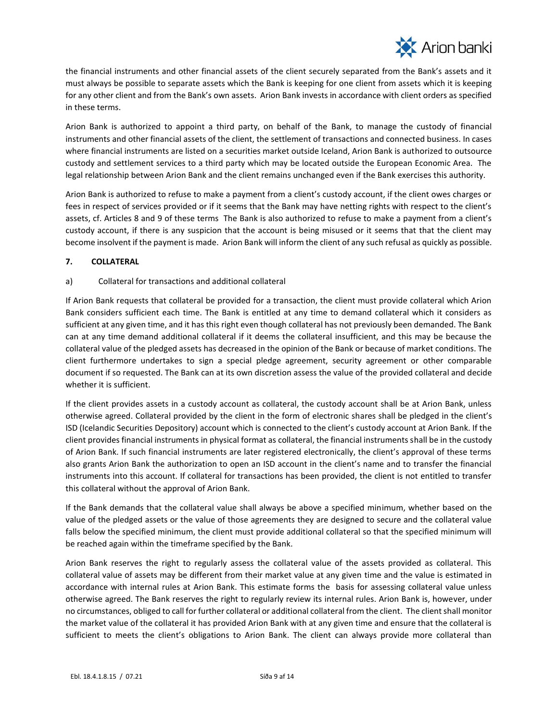

the financial instruments and other financial assets of the client securely separated from the Bank's assets and it must always be possible to separate assets which the Bank is keeping for one client from assets which it is keeping for any other client and from the Bank's own assets. Arion Bank invests in accordance with client orders as specified in these terms.

Arion Bank is authorized to appoint a third party, on behalf of the Bank, to manage the custody of financial instruments and other financial assets of the client, the settlement of transactions and connected business. In cases where financial instruments are listed on a securities market outside Iceland, Arion Bank is authorized to outsource custody and settlement services to a third party which may be located outside the European Economic Area. The legal relationship between Arion Bank and the client remains unchanged even if the Bank exercises this authority.

Arion Bank is authorized to refuse to make a payment from a client's custody account, if the client owes charges or fees in respect of services provided or if it seems that the Bank may have netting rights with respect to the client's assets, cf. Articles 8 and 9 of these terms The Bank is also authorized to refuse to make a payment from a client's custody account, if there is any suspicion that the account is being misused or it seems that that the client may become insolvent if the payment is made. Arion Bank will inform the client of any such refusal as quickly as possible.

# <span id="page-8-0"></span>**7. COLLATERAL**

# a) Collateral for transactions and additional collateral

If Arion Bank requests that collateral be provided for a transaction, the client must provide collateral which Arion Bank considers sufficient each time. The Bank is entitled at any time to demand collateral which it considers as sufficient at any given time, and it has this right even though collateral has not previously been demanded. The Bank can at any time demand additional collateral if it deems the collateral insufficient, and this may be because the collateral value of the pledged assets has decreased in the opinion of the Bank or because of market conditions. The client furthermore undertakes to sign a special pledge agreement, security agreement or other comparable document if so requested. The Bank can at its own discretion assess the value of the provided collateral and decide whether it is sufficient.

If the client provides assets in a custody account as collateral, the custody account shall be at Arion Bank, unless otherwise agreed. Collateral provided by the client in the form of electronic shares shall be pledged in the client's ISD (Icelandic Securities Depository) account which is connected to the client's custody account at Arion Bank. If the client provides financial instruments in physical format as collateral, the financial instruments shall be in the custody of Arion Bank. If such financial instruments are later registered electronically, the client's approval of these terms also grants Arion Bank the authorization to open an ISD account in the client's name and to transfer the financial instruments into this account. If collateral for transactions has been provided, the client is not entitled to transfer this collateral without the approval of Arion Bank.

If the Bank demands that the collateral value shall always be above a specified minimum, whether based on the value of the pledged assets or the value of those agreements they are designed to secure and the collateral value falls below the specified minimum, the client must provide additional collateral so that the specified minimum will be reached again within the timeframe specified by the Bank.

Arion Bank reserves the right to regularly assess the collateral value of the assets provided as collateral. This collateral value of assets may be different from their market value at any given time and the value is estimated in accordance with internal rules at Arion Bank. This estimate forms the basis for assessing collateral value unless otherwise agreed. The Bank reserves the right to regularly review its internal rules. Arion Bank is, however, under no circumstances, obliged to call for further collateral or additional collateral from the client. The client shall monitor the market value of the collateral it has provided Arion Bank with at any given time and ensure that the collateral is sufficient to meets the client's obligations to Arion Bank. The client can always provide more collateral than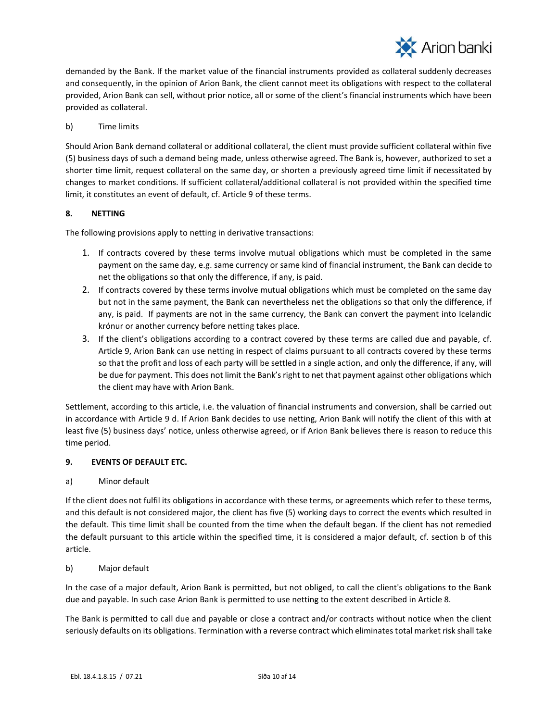

demanded by the Bank. If the market value of the financial instruments provided as collateral suddenly decreases and consequently, in the opinion of Arion Bank, the client cannot meet its obligations with respect to the collateral provided, Arion Bank can sell, without prior notice, all or some of the client's financial instruments which have been provided as collateral.

b) Time limits

Should Arion Bank demand collateral or additional collateral, the client must provide sufficient collateral within five (5) business days of such a demand being made, unless otherwise agreed. The Bank is, however, authorized to set a shorter time limit, request collateral on the same day, or shorten a previously agreed time limit if necessitated by changes to market conditions. If sufficient collateral/additional collateral is not provided within the specified time limit, it constitutes an event of default, cf. Article 9 of these terms.

# <span id="page-9-0"></span>**8. NETTING**

The following provisions apply to netting in derivative transactions:

- 1. If contracts covered by these terms involve mutual obligations which must be completed in the same payment on the same day, e.g. same currency or same kind of financial instrument, the Bank can decide to net the obligations so that only the difference, if any, is paid.
- 2. If contracts covered by these terms involve mutual obligations which must be completed on the same day but not in the same payment, the Bank can nevertheless net the obligations so that only the difference, if any, is paid. If payments are not in the same currency, the Bank can convert the payment into Icelandic krónur or another currency before netting takes place.
- 3. If the client's obligations according to a contract covered by these terms are called due and payable, cf. Article 9, Arion Bank can use netting in respect of claims pursuant to all contracts covered by these terms so that the profit and loss of each party will be settled in a single action, and only the difference, if any, will be due for payment. This does not limit the Bank's right to net that payment against other obligations which the client may have with Arion Bank.

Settlement, according to this article, i.e. the valuation of financial instruments and conversion, shall be carried out in accordance with Article 9 d. If Arion Bank decides to use netting, Arion Bank will notify the client of this with at least five (5) business days' notice, unless otherwise agreed, or if Arion Bank believes there is reason to reduce this time period.

#### <span id="page-9-1"></span>**9. EVENTS OF DEFAULT ETC.**

#### a) Minor default

If the client does not fulfil its obligations in accordance with these terms, or agreements which refer to these terms, and this default is not considered major, the client has five (5) working days to correct the events which resulted in the default. This time limit shall be counted from the time when the default began. If the client has not remedied the default pursuant to this article within the specified time, it is considered a major default, cf. section b of this article.

#### b) Major default

In the case of a major default, Arion Bank is permitted, but not obliged, to call the client's obligations to the Bank due and payable. In such case Arion Bank is permitted to use netting to the extent described in Article 8.

The Bank is permitted to call due and payable or close a contract and/or contracts without notice when the client seriously defaults on its obligations. Termination with a reverse contract which eliminates total market risk shall take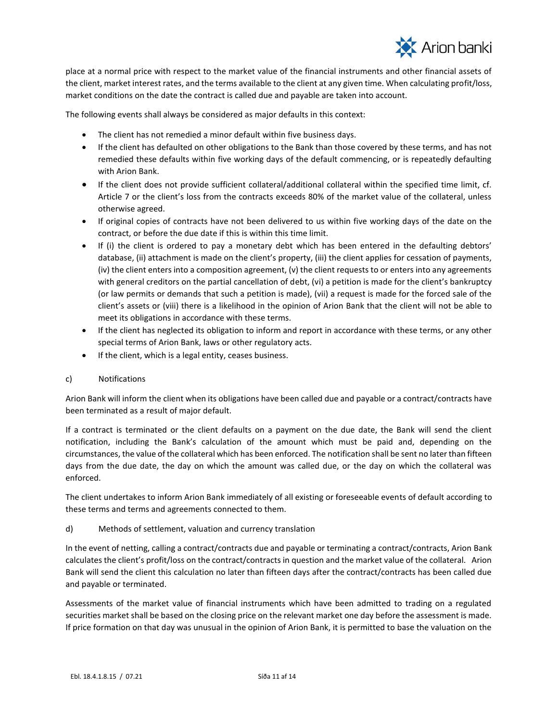

place at a normal price with respect to the market value of the financial instruments and other financial assets of the client, market interest rates, and the terms available to the client at any given time. When calculating profit/loss, market conditions on the date the contract is called due and payable are taken into account.

The following events shall always be considered as major defaults in this context:

- The client has not remedied a minor default within five business days.
- If the client has defaulted on other obligations to the Bank than those covered by these terms, and has not remedied these defaults within five working days of the default commencing, or is repeatedly defaulting with Arion Bank.
- If the client does not provide sufficient collateral/additional collateral within the specified time limit, cf. Article 7 or the client's loss from the contracts exceeds 80% of the market value of the collateral, unless otherwise agreed.
- If original copies of contracts have not been delivered to us within five working days of the date on the contract, or before the due date if this is within this time limit.
- If (i) the client is ordered to pay a monetary debt which has been entered in the defaulting debtors' database, (ii) attachment is made on the client's property, (iii) the client applies for cessation of payments, (iv) the client enters into a composition agreement, (v) the client requests to or enters into any agreements with general creditors on the partial cancellation of debt, (vi) a petition is made for the client's bankruptcy (or law permits or demands that such a petition is made), (vii) a request is made for the forced sale of the client's assets or (viii) there is a likelihood in the opinion of Arion Bank that the client will not be able to meet its obligations in accordance with these terms.
- If the client has neglected its obligation to inform and report in accordance with these terms, or any other special terms of Arion Bank, laws or other regulatory acts.
- If the client, which is a legal entity, ceases business.

#### c) Notifications

Arion Bank will inform the client when its obligations have been called due and payable or a contract/contracts have been terminated as a result of major default.

If a contract is terminated or the client defaults on a payment on the due date, the Bank will send the client notification, including the Bank's calculation of the amount which must be paid and, depending on the circumstances, the value of the collateral which has been enforced. The notification shall be sent no later than fifteen days from the due date, the day on which the amount was called due, or the day on which the collateral was enforced.

The client undertakes to inform Arion Bank immediately of all existing or foreseeable events of default according to these terms and terms and agreements connected to them.

#### d) Methods of settlement, valuation and currency translation

In the event of netting, calling a contract/contracts due and payable or terminating a contract/contracts, Arion Bank calculates the client's profit/loss on the contract/contracts in question and the market value of the collateral. Arion Bank will send the client this calculation no later than fifteen days after the contract/contracts has been called due and payable or terminated.

Assessments of the market value of financial instruments which have been admitted to trading on a regulated securities market shall be based on the closing price on the relevant market one day before the assessment is made. If price formation on that day was unusual in the opinion of Arion Bank, it is permitted to base the valuation on the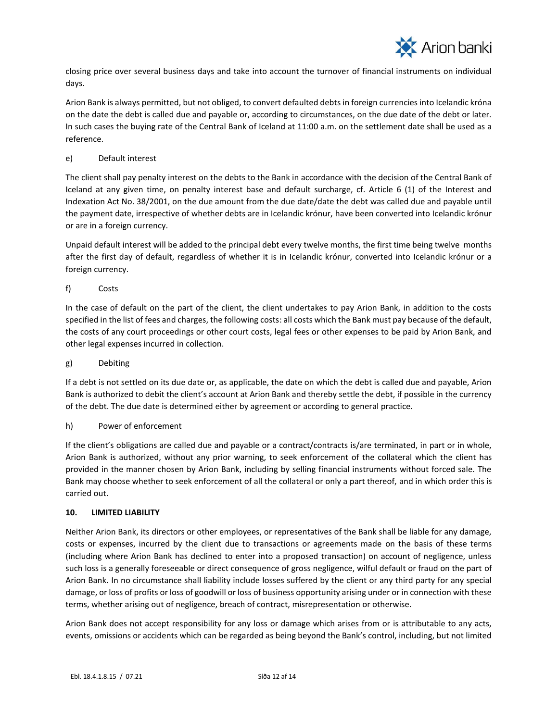

closing price over several business days and take into account the turnover of financial instruments on individual days.

Arion Bank is always permitted, but not obliged, to convert defaulted debts in foreign currencies into Icelandic króna on the date the debt is called due and payable or, according to circumstances, on the due date of the debt or later. In such cases the buying rate of the Central Bank of Iceland at 11:00 a.m. on the settlement date shall be used as a reference.

# e) Default interest

The client shall pay penalty interest on the debts to the Bank in accordance with the decision of the Central Bank of Iceland at any given time, on penalty interest base and default surcharge, cf. Article 6 (1) of the Interest and Indexation Act No. 38/2001, on the due amount from the due date/date the debt was called due and payable until the payment date, irrespective of whether debts are in Icelandic krónur, have been converted into Icelandic krónur or are in a foreign currency.

Unpaid default interest will be added to the principal debt every twelve months, the first time being twelve months after the first day of default, regardless of whether it is in Icelandic krónur, converted into Icelandic krónur or a foreign currency.

# f) Costs

In the case of default on the part of the client, the client undertakes to pay Arion Bank, in addition to the costs specified in the list of fees and charges, the following costs: all costs which the Bank must pay because of the default, the costs of any court proceedings or other court costs, legal fees or other expenses to be paid by Arion Bank, and other legal expenses incurred in collection.

#### g) Debiting

If a debt is not settled on its due date or, as applicable, the date on which the debt is called due and payable, Arion Bank is authorized to debit the client's account at Arion Bank and thereby settle the debt, if possible in the currency of the debt. The due date is determined either by agreement or according to general practice.

#### h) Power of enforcement

If the client's obligations are called due and payable or a contract/contracts is/are terminated, in part or in whole, Arion Bank is authorized, without any prior warning, to seek enforcement of the collateral which the client has provided in the manner chosen by Arion Bank, including by selling financial instruments without forced sale. The Bank may choose whether to seek enforcement of all the collateral or only a part thereof, and in which order this is carried out.

#### <span id="page-11-0"></span>**10. LIMITED LIABILITY**

Neither Arion Bank, its directors or other employees, or representatives of the Bank shall be liable for any damage, costs or expenses, incurred by the client due to transactions or agreements made on the basis of these terms (including where Arion Bank has declined to enter into a proposed transaction) on account of negligence, unless such loss is a generally foreseeable or direct consequence of gross negligence, wilful default or fraud on the part of Arion Bank. In no circumstance shall liability include losses suffered by the client or any third party for any special damage, or loss of profits or loss of goodwill or loss of business opportunity arising under or in connection with these terms, whether arising out of negligence, breach of contract, misrepresentation or otherwise.

Arion Bank does not accept responsibility for any loss or damage which arises from or is attributable to any acts, events, omissions or accidents which can be regarded as being beyond the Bank's control, including, but not limited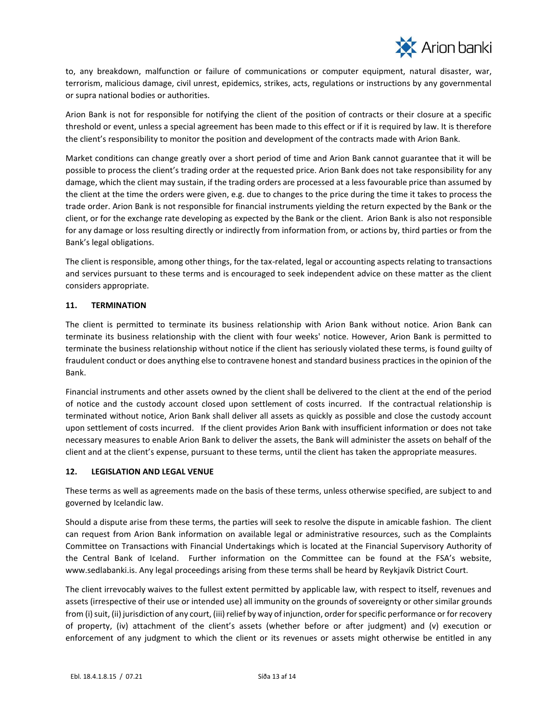

to, any breakdown, malfunction or failure of communications or computer equipment, natural disaster, war, terrorism, malicious damage, civil unrest, epidemics, strikes, acts, regulations or instructions by any governmental or supra national bodies or authorities.

Arion Bank is not for responsible for notifying the client of the position of contracts or their closure at a specific threshold or event, unless a special agreement has been made to this effect or if it is required by law. It is therefore the client's responsibility to monitor the position and development of the contracts made with Arion Bank.

Market conditions can change greatly over a short period of time and Arion Bank cannot guarantee that it will be possible to process the client's trading order at the requested price. Arion Bank does not take responsibility for any damage, which the client may sustain, if the trading orders are processed at a less favourable price than assumed by the client at the time the orders were given, e.g. due to changes to the price during the time it takes to process the trade order. Arion Bank is not responsible for financial instruments yielding the return expected by the Bank or the client, or for the exchange rate developing as expected by the Bank or the client. Arion Bank is also not responsible for any damage or loss resulting directly or indirectly from information from, or actions by, third parties or from the Bank's legal obligations.

The client is responsible, among other things, for the tax-related, legal or accounting aspects relating to transactions and services pursuant to these terms and is encouraged to seek independent advice on these matter as the client considers appropriate.

# <span id="page-12-0"></span>**11. TERMINATION**

The client is permitted to terminate its business relationship with Arion Bank without notice. Arion Bank can terminate its business relationship with the client with four weeks' notice. However, Arion Bank is permitted to terminate the business relationship without notice if the client has seriously violated these terms, is found guilty of fraudulent conduct or does anything else to contravene honest and standard business practices in the opinion of the Bank.

Financial instruments and other assets owned by the client shall be delivered to the client at the end of the period of notice and the custody account closed upon settlement of costs incurred. If the contractual relationship is terminated without notice, Arion Bank shall deliver all assets as quickly as possible and close the custody account upon settlement of costs incurred. If the client provides Arion Bank with insufficient information or does not take necessary measures to enable Arion Bank to deliver the assets, the Bank will administer the assets on behalf of the client and at the client's expense, pursuant to these terms, until the client has taken the appropriate measures.

#### <span id="page-12-1"></span>**12. LEGISLATION AND LEGAL VENUE**

These terms as well as agreements made on the basis of these terms, unless otherwise specified, are subject to and governed by Icelandic law.

Should a dispute arise from these terms, the parties will seek to resolve the dispute in amicable fashion. The client can request from Arion Bank information on available legal or administrative resources, such as the Complaints Committee on Transactions with Financial Undertakings which is located at the Financial Supervisory Authority of the Central Bank of Iceland. Further information on the Committee can be found at the FSA's website, www.sedlabanki.is. Any legal proceedings arising from these terms shall be heard by Reykjavík District Court.

The client irrevocably waives to the fullest extent permitted by applicable law, with respect to itself, revenues and assets (irrespective of their use or intended use) all immunity on the grounds of sovereignty or other similar grounds from (i) suit, (ii) jurisdiction of any court, (iii) relief by way of injunction, order for specific performance or for recovery of property, (iv) attachment of the client's assets (whether before or after judgment) and (v) execution or enforcement of any judgment to which the client or its revenues or assets might otherwise be entitled in any